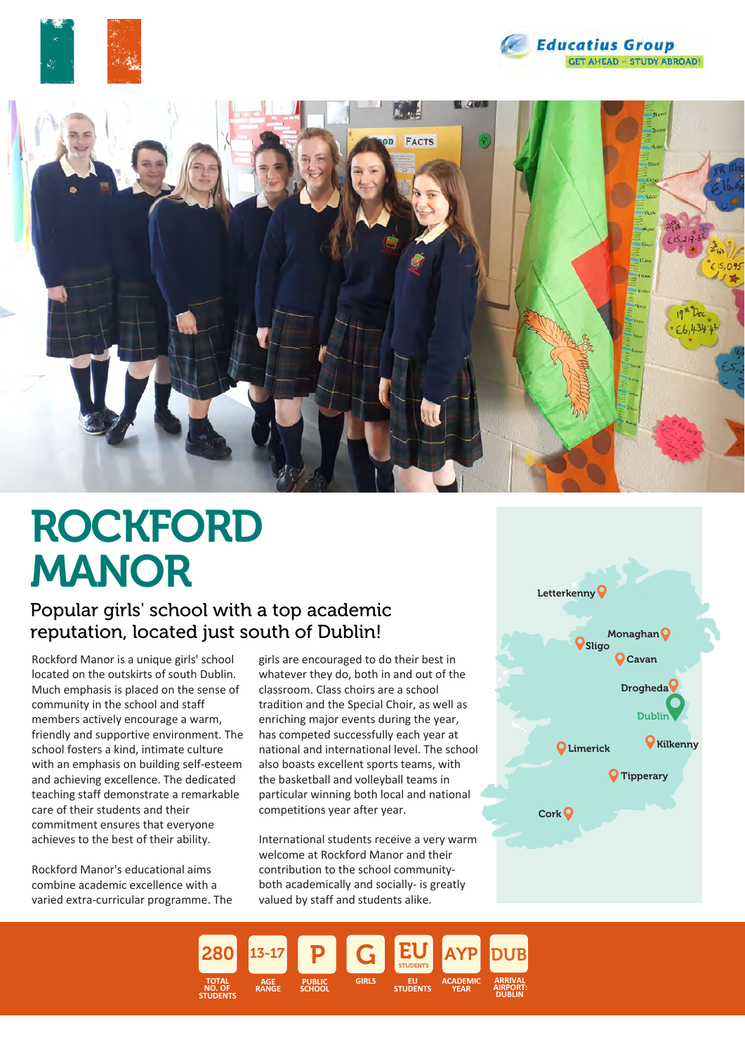





# ROCKFORD MANOR

### Popular girls' school with a top academic reputation, located just south of Dublin!

Rockford Manor is a unique girls' school located on the outskirts of south Dublin. Much emphasis is placed on the sense of community in the school and staff members actively encourage a warm, friendly and supportive environment. The school fosters a kind, intimate culture with an emphasis on building self-esteem and achieving excellence. The dedicated teaching staff demonstrate a remarkable care of their students and their commitment ensures that everyone achieves to the best of their ability.

Rockford Manor's educational aims combine academic excellence with a varied extra-curricular programme. The girls are encouraged to do their best in whatever they do, both in and out of the classroom. Class choirs are a school tradition and the Special Choir, as well as enriching major events during the year, has competed successfully each year at national and international level. The school also boasts excellent sports teams, with the basketball and volleyball teams in particular winning both local and national competitions year after year.

International students receive a very warm welcome at Rockford Manor and their contribution to the school communityboth academically and socially- is greatly valued by staff and students alike.



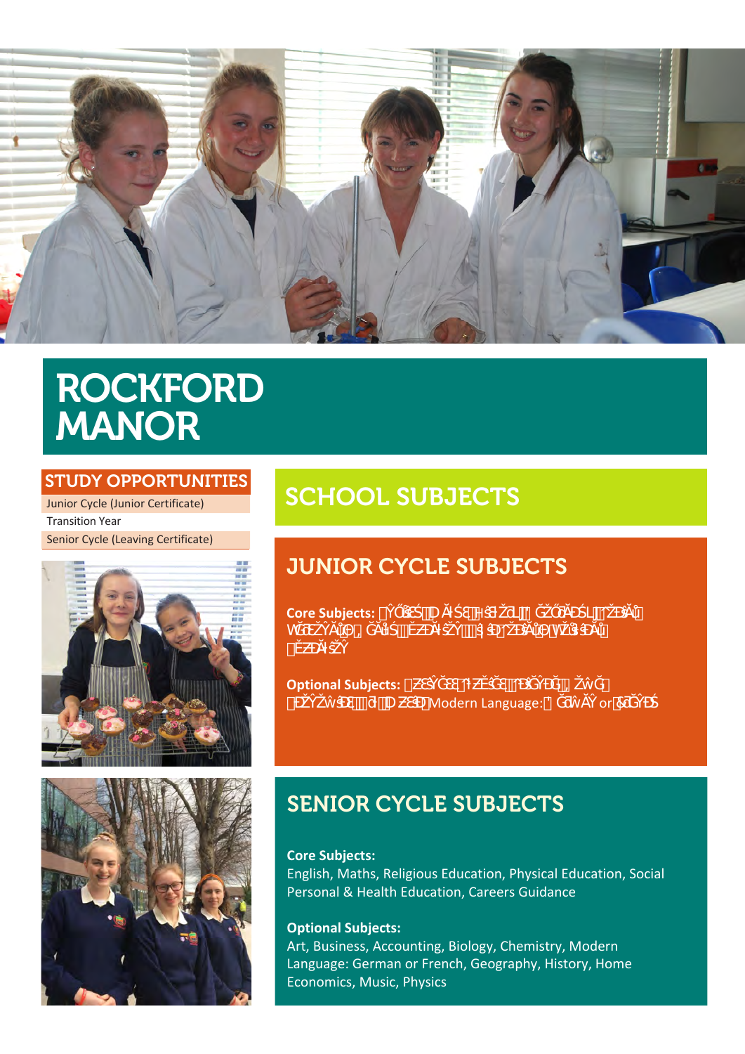

## **ROCKFORD MANOR**

### **STUDY OPPORTUNITIES**

Junior Cycle (Junior Certificate) **Transition Year** Senior Cycle (Leaving Certificate)





## **SCHOOL SUBJECTS**

## **JUNIOR CYCLE SUBJECTS**



## **SENIOR CYCLE SUBJECTS**

**Core Subjects:** English, Maths, Religious Education, Physical Education, Social Personal & Health Education, Careers Guidance

### **Optional Subjects:**

Art, Business, Accounting, Biology, Chemistry, Modern Language: German or French, Geography, History, Home Economics, Music, Physics